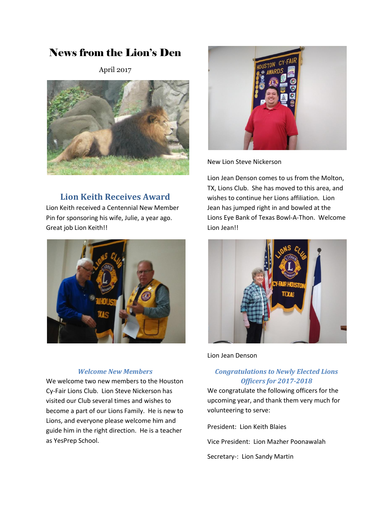# News from the Lion's Den

April 2017



# **Lion Keith Receives Award**

Lion Keith received a Centennial New Member Pin for sponsoring his wife, Julie, a year ago. Great job Lion Keith!!



#### *Welcome New Members*

We welcome two new members to the Houston Cy-Fair Lions Club. Lion Steve Nickerson has visited our Club several times and wishes to become a part of our Lions Family. He is new to Lions, and everyone please welcome him and guide him in the right direction. He is a teacher as YesPrep School.



New Lion Steve Nickerson

Lion Jean Denson comes to us from the Molton, TX, Lions Club. She has moved to this area, and wishes to continue her Lions affiliation. Lion Jean has jumped right in and bowled at the Lions Eye Bank of Texas Bowl-A-Thon. Welcome Lion Jean!!



Lion Jean Denson

## *Congratulations to Newly Elected Lions Officers for 2017-2018*

We congratulate the following officers for the upcoming year, and thank them very much for volunteering to serve:

President: Lion Keith Blaies

Vice President: Lion Mazher Poonawalah

Secretary-: Lion Sandy Martin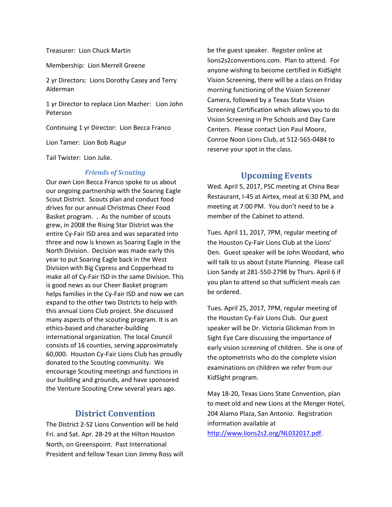Treasurer: Lion Chuck Martin

Membership: Lion Merrell Greene

2 yr Directors: Lions Dorothy Casey and Terry Alderman

1 yr Director to replace Lion Mazher: Lion John Peterson

Continuing 1 yr Director: Lion Becca Franco

Lion Tamer: Lion Bob Rugur

Tail Twister: Lion Julie.

#### *Friends of Scouting*

Our own Lion Becca Franco spoke to us about our ongoing partnership with the Soaring Eagle Scout District. Scouts plan and conduct food drives for our annual Christmas Cheer Food Basket program. . As the number of scouts grew, in 2008 the Rising Star District was the entire Cy-Fair ISD area and was separated into three and now is known as Soaring Eagle in the North Division. Decision was made early this year to put Soaring Eagle back in the West Division with Big Cypress and Copperhead to make all of Cy-Fair ISD in the same Division. This is good news as our Cheer Basket program helps families in the Cy-Fair ISD and now we can expand to the other two Districts to help with this annual Lions Club project. She discussed many aspects of the scouting program. It is an ethics-based and character-building international organization. The local Council consists of 16 counties, serving approximately 60,000. Houston Cy-Fair Lions Club has proudly donated to the Scouting community. We encourage Scouting meetings and functions in our building and grounds, and have sponsored the Venture Scouting Crew several years ago.

### **District Convention**

The District 2-S2 Lions Convention will be held Fri. and Sat. Apr. 28-29 at the Hilton Houston North, on Greenspoint. Past International President and fellow Texan Lion Jimmy Ross will be the guest speaker. Register online at lions2s2conventions.com. Plan to attend. For anyone wishing to become certified in KidSight Vision Screening, there will be a class on Friday morning functioning of the Vision Screener Camera, followed by a Texas State Vision Screening Certification which allows you to do Vision Screening in Pre Schools and Day Care Centers. Please contact Lion Paul Moore, Conroe Noon Lions Club, at 512-565-0484 to reserve your spot in the class.

### **Upcoming Events**

Wed. April 5, 2017, PSC meeting at China Bear Restaurant, I-45 at Airtex, meal at 6:30 PM, and meeting at 7:00 PM. You don't need to be a member of the Cabinet to attend.

Tues. April 11, 2017, 7PM, regular meeting of the Houston Cy-Fair Lions Club at the Lions' Den. Guest speaker will be John Woodard, who will talk to us about Estate Planning. Please call Lion Sandy at 281-550-2798 by Thurs. April 6 if you plan to attend so that sufficient meals can be ordered.

Tues. April 25, 2017, 7PM, regular meeting of the Houston Cy-Fair Lions Club. Our guest speaker will be Dr. Victoria Glickman from In Sight Eye Care discussing the importance of early vision screening of children. She is one of the optometrists who do the complete vision examinations on children we refer from our KidSight program.

May 18-20, Texas Lions State Convention, plan to meet old and new Lions at the Menger Hotel, 204 Alamo Plaza, San Antonio. Registration information available at [http://www.lions2s2.org/NL032017.pdf.](http://www.lions2s2.org/NL032017.pdf)